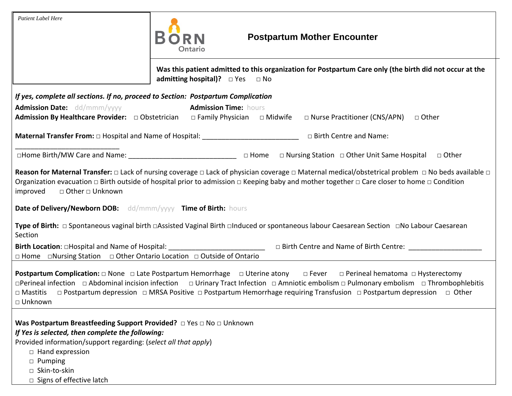| <b>Patient Label Here</b>                                                                                  | <b>Postpartum Mother Encounter</b><br>Ontario                                                                                                                                                                                                                                                                                                                                                                                                                                              |
|------------------------------------------------------------------------------------------------------------|--------------------------------------------------------------------------------------------------------------------------------------------------------------------------------------------------------------------------------------------------------------------------------------------------------------------------------------------------------------------------------------------------------------------------------------------------------------------------------------------|
|                                                                                                            | Was this patient admitted to this organization for Postpartum Care only (the birth did not occur at the<br>admitting hospital)? $\Box$ Yes $\Box$ No                                                                                                                                                                                                                                                                                                                                       |
| If yes, complete all sections. If no, proceed to Section: Postpartum Complication                          |                                                                                                                                                                                                                                                                                                                                                                                                                                                                                            |
| <b>Admission Date:</b> dd/mmm/yyyy                                                                         | <b>Admission Time: hours</b><br>Admission By Healthcare Provider: $\Box$ Obstetrician $\Box$ Family Physician $\Box$ Midwife $\Box$ Nurse Practitioner (CNS/APN)<br>□ Other                                                                                                                                                                                                                                                                                                                |
|                                                                                                            | □ Birth Centre and Name:                                                                                                                                                                                                                                                                                                                                                                                                                                                                   |
|                                                                                                            |                                                                                                                                                                                                                                                                                                                                                                                                                                                                                            |
| □ Other □ Unknown<br>improved<br>Date of Delivery/Newborn DOB: dd/mmm/yyyy Time of Birth: hours<br>Section | Reason for Maternal Transfer: $\Box$ Lack of nursing coverage $\Box$ Lack of physician coverage $\Box$ Maternal medical/obstetrical problem $\Box$ No beds available $\Box$<br>Organization evacuation $\Box$ Birth outside of hospital prior to admission $\Box$ Keeping baby and mother together $\Box$ Care closer to home $\Box$ Condition<br>Type of Birth: □ Spontaneous vaginal birth □Assisted Vaginal Birth □Induced or spontaneous labour Caesarean Section □No Labour Caesarean |
| □ Home □Nursing Station □ Other Ontario Location □ Outside of Ontario                                      |                                                                                                                                                                                                                                                                                                                                                                                                                                                                                            |
|                                                                                                            | <b>Postpartum Complication:</b> □ None □ Late Postpartum Hemorrhage □ Uterine atony □ Fever □ Perineal hematoma □ Hysterectomy                                                                                                                                                                                                                                                                                                                                                             |
| □ Unknown                                                                                                  | □Perineal infection □ Abdominal incision infection □ Urinary Tract Infection □ Amniotic embolism □ Pulmonary embolism □ Thrombophlebitis<br>□ Mastitis □ Postpartum depression □ MRSA Positive □ Postpartum Hemorrhage requiring Transfusion □ Postpartum depression □ Other                                                                                                                                                                                                               |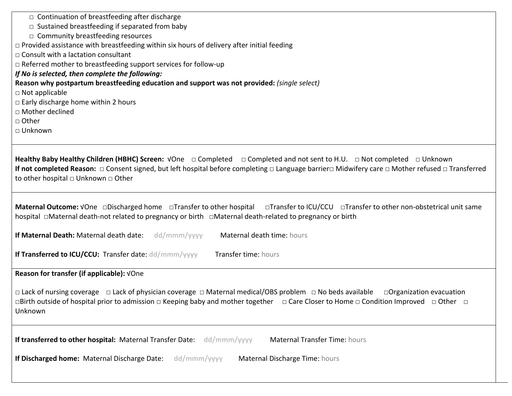| $\Box$ Continuation of breastfeeding after discharge                                                                                                                                                                                                                                                            |
|-----------------------------------------------------------------------------------------------------------------------------------------------------------------------------------------------------------------------------------------------------------------------------------------------------------------|
| $\Box$ Sustained breastfeeding if separated from baby                                                                                                                                                                                                                                                           |
| $\Box$ Community breastfeeding resources                                                                                                                                                                                                                                                                        |
| $\Box$ Provided assistance with breastfeeding within six hours of delivery after initial feeding                                                                                                                                                                                                                |
| $\Box$ Consult with a lactation consultant                                                                                                                                                                                                                                                                      |
| □ Referred mother to breastfeeding support services for follow-up                                                                                                                                                                                                                                               |
| If No is selected, then complete the following:                                                                                                                                                                                                                                                                 |
| Reason why postpartum breastfeeding education and support was not provided: (single select)                                                                                                                                                                                                                     |
| $\Box$ Not applicable                                                                                                                                                                                                                                                                                           |
| $\Box$ Early discharge home within 2 hours                                                                                                                                                                                                                                                                      |
| □ Mother declined                                                                                                                                                                                                                                                                                               |
| □ Other                                                                                                                                                                                                                                                                                                         |
| □ Unknown                                                                                                                                                                                                                                                                                                       |
|                                                                                                                                                                                                                                                                                                                 |
| If not completed Reason: □ Consent signed, but left hospital before completing □ Language barrier□ Midwifery care □ Mother refused □ Transferred<br>to other hospital $\Box$ Unknown $\Box$ Other                                                                                                               |
| Maternal Outcome: VOne <b>Discharged home</b> DTransfer to other hospital DTransfer to ICU/CCU DTransfer to other non-obstetrical unit same                                                                                                                                                                     |
| If Maternal Death: Maternal death date: dd/mmm/yyyy<br>Maternal death time: hours                                                                                                                                                                                                                               |
| If Transferred to ICU/CCU: Transfer date: dd/mmm/yyyy<br>Transfer time: hours                                                                                                                                                                                                                                   |
| Reason for transfer (if applicable): VOne                                                                                                                                                                                                                                                                       |
| $\Box$ Lack of nursing coverage $\Box$ Lack of physician coverage $\Box$ Maternal medical/OBS problem $\Box$ No beds available<br>□ Organization evacuation<br>□Birth outside of hospital prior to admission □ Keeping baby and mother together □ Care Closer to Home □ Condition Improved □ Other □<br>Unknown |
| If transferred to other hospital: Maternal Transfer Date: dd/mmm/yyyy<br><b>Maternal Transfer Time: hours</b>                                                                                                                                                                                                   |
| If Discharged home: Maternal Discharge Date:<br>dd/mmm/yyyy<br>Maternal Discharge Time: hours                                                                                                                                                                                                                   |
|                                                                                                                                                                                                                                                                                                                 |